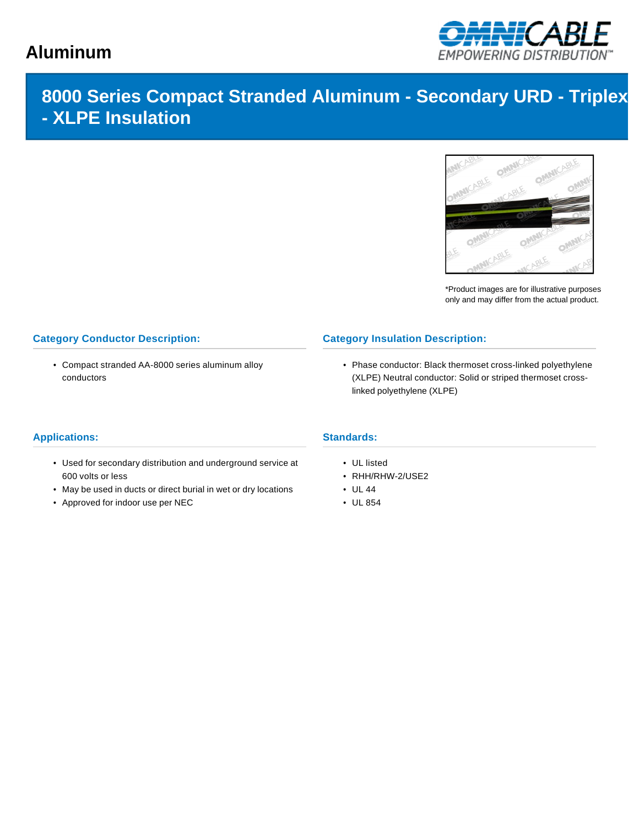# **Aluminum**



## **8000 Series Compact Stranded Aluminum - Secondary URD - Triplex - XLPE Insulation**



\*Product images are for illustrative purposes only and may differ from the actual product.

### **Category Conductor Description:**

• Compact stranded AA-8000 series aluminum alloy conductors

## **Category Insulation Description:**

• Phase conductor: Black thermoset cross-linked polyethylene (XLPE) Neutral conductor: Solid or striped thermoset crosslinked polyethylene (XLPE)

#### **Applications:**

- Used for secondary distribution and underground service at 600 volts or less
- May be used in ducts or direct burial in wet or dry locations
- Approved for indoor use per NEC

## **Standards:**

- UL listed
- RHH/RHW-2/USE2
- UL 44
- UL 854